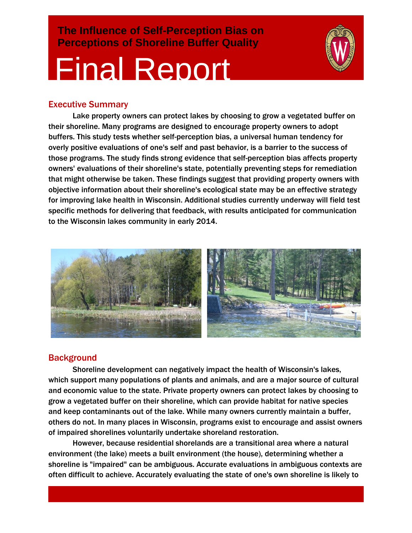**The Influence of Self-Perception Bias on Perceptions of Shoreline Buffer Quality**

# Final Report



## Executive Summary

Lake property owners can protect lakes by choosing to grow a vegetated buffer on their shoreline. Many programs are designed to encourage property owners to adopt buffers. This study tests whether self-perception bias, a universal human tendency for overly positive evaluations of one's self and past behavior, is a barrier to the success of those programs. The study finds strong evidence that self-perception bias affects property owners' evaluations of their shoreline's state, potentially preventing steps for remediation that might otherwise be taken. These findings suggest that providing property owners with objective information about their shoreline's ecological state may be an effective strategy for improving lake health in Wisconsin. Additional studies currently underway will field test specific methods for delivering that feedback, with results anticipated for communication to the Wisconsin lakes community in early 2014.



## **Background**

Shoreline development can negatively impact the health of Wisconsin's lakes, which support many populations of plants and animals, and are a major source of cultural and economic value to the state. Private property owners can protect lakes by choosing to grow a vegetated buffer on their shoreline, which can provide habitat for native species and keep contaminants out of the lake. While many owners currently maintain a buffer, others do not. In many places in Wisconsin, programs exist to encourage and assist owners of impaired shorelines voluntarily undertake shoreland restoration.

However, because residential shorelands are a transitional area where a natural environment (the lake) meets a built environment (the house), determining whether a shoreline is "impaired" can be ambiguous. Accurate evaluations in ambiguous contexts are often difficult to achieve. Accurately evaluating the state of one's own shoreline is likely to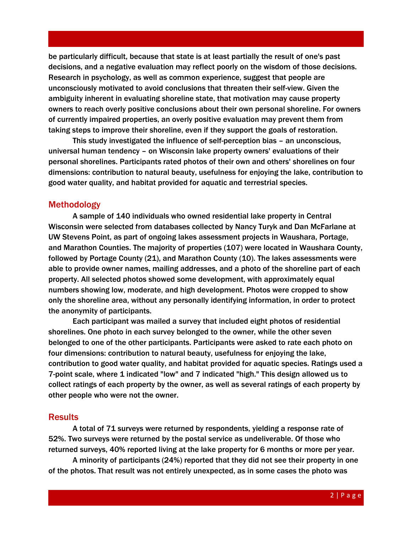be particularly difficult, because that state is at least partially the result of one's past decisions, and a negative evaluation may reflect poorly on the wisdom of those decisions. Research in psychology, as well as common experience, suggest that people are unconsciously motivated to avoid conclusions that threaten their self-view. Given the ambiguity inherent in evaluating shoreline state, that motivation may cause property owners to reach overly positive conclusions about their own personal shoreline. For owners of currently impaired properties, an overly positive evaluation may prevent them from taking steps to improve their shoreline, even if they support the goals of restoration.

This study investigated the influence of self-perception bias – an unconscious, universal human tendency – on Wisconsin lake property owners' evaluations of their personal shorelines. Participants rated photos of their own and others' shorelines on four dimensions: contribution to natural beauty, usefulness for enjoying the lake, contribution to good water quality, and habitat provided for aquatic and terrestrial species.

#### Methodology

A sample of 140 individuals who owned residential lake property in Central Wisconsin were selected from databases collected by Nancy Turyk and Dan McFarlane at UW Stevens Point, as part of ongoing lakes assessment projects in Waushara, Portage, and Marathon Counties. The majority of properties (107) were located in Waushara County, followed by Portage County (21), and Marathon County (10). The lakes assessments were able to provide owner names, mailing addresses, and a photo of the shoreline part of each property. All selected photos showed some development, with approximately equal numbers showing low, moderate, and high development. Photos were cropped to show only the shoreline area, without any personally identifying information, in order to protect the anonymity of participants.

Each participant was mailed a survey that included eight photos of residential shorelines. One photo in each survey belonged to the owner, while the other seven belonged to one of the other participants. Participants were asked to rate each photo on four dimensions: contribution to natural beauty, usefulness for enjoying the lake, contribution to good water quality, and habitat provided for aquatic species. Ratings used a 7-point scale, where 1 indicated "low" and 7 indicated "high." This design allowed us to collect ratings of each property by the owner, as well as several ratings of each property by other people who were not the owner.

#### **Results**

A total of 71 surveys were returned by respondents, yielding a response rate of 52%. Two surveys were returned by the postal service as undeliverable. Of those who returned surveys, 40% reported living at the lake property for 6 months or more per year.

A minority of participants (24%) reported that they did not see their property in one of the photos. That result was not entirely unexpected, as in some cases the photo was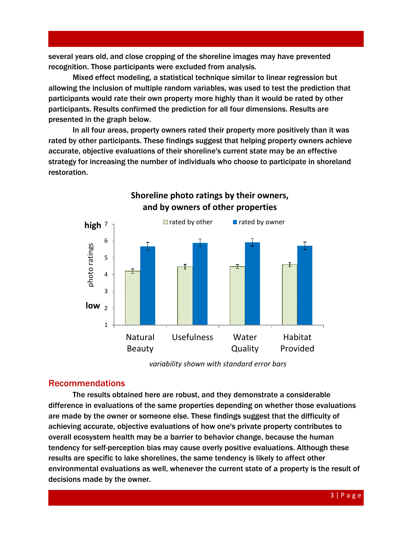several years old, and close cropping of the shoreline images may have prevented recognition. Those participants were excluded from analysis.

Mixed effect modeling, a statistical technique similar to linear regression but allowing the inclusion of multiple random variables, was used to test the prediction that participants would rate their own property more highly than it would be rated by other participants. Results confirmed the prediction for all four dimensions. Results are presented in the graph below.

In all four areas, property owners rated their property more positively than it was rated by other participants. These findings suggest that helping property owners achieve accurate, objective evaluations of their shoreline's current state may be an effective strategy for increasing the number of individuals who choose to participate in shoreland restoration.



**Shoreline photo ratings by their owners, and by owners of other properties**

*variability shown with standard error bars*

### Recommendations

The results obtained here are robust, and they demonstrate a considerable difference in evaluations of the same properties depending on whether those evaluations are made by the owner or someone else. These findings suggest that the difficulty of achieving accurate, objective evaluations of how one's private property contributes to overall ecosystem health may be a barrier to behavior change, because the human tendency for self-perception bias may cause overly positive evaluations. Although these results are specific to lake shorelines, the same tendency is likely to affect other environmental evaluations as well, whenever the current state of a property is the result of decisions made by the owner.